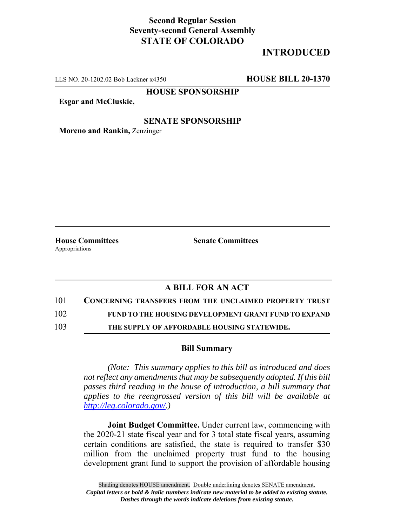### **Second Regular Session Seventy-second General Assembly STATE OF COLORADO**

## **INTRODUCED**

LLS NO. 20-1202.02 Bob Lackner x4350 **HOUSE BILL 20-1370**

### **HOUSE SPONSORSHIP**

**Esgar and McCluskie,**

#### **SENATE SPONSORSHIP**

**Moreno and Rankin,** Zenzinger

Appropriations

**House Committees Senate Committees** 

# **A BILL FOR AN ACT**

101 **CONCERNING TRANSFERS FROM THE UNCLAIMED PROPERTY TRUST**

102 **FUND TO THE HOUSING DEVELOPMENT GRANT FUND TO EXPAND**

103 **THE SUPPLY OF AFFORDABLE HOUSING STATEWIDE.**

#### **Bill Summary**

*(Note: This summary applies to this bill as introduced and does not reflect any amendments that may be subsequently adopted. If this bill passes third reading in the house of introduction, a bill summary that applies to the reengrossed version of this bill will be available at http://leg.colorado.gov/.)*

**Joint Budget Committee.** Under current law, commencing with the 2020-21 state fiscal year and for 3 total state fiscal years, assuming certain conditions are satisfied, the state is required to transfer \$30 million from the unclaimed property trust fund to the housing development grant fund to support the provision of affordable housing